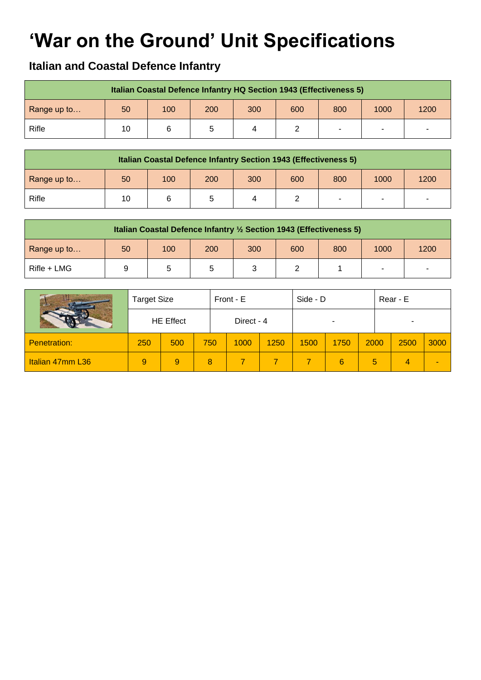## **'War on the Ground' Unit Specifications**

## **Italian and Coastal Defence Infantry**

|             |    |     | Italian Coastal Defence Infantry HQ Section 1943 (Effectiveness 5) |     |     |     |                          |      |
|-------------|----|-----|--------------------------------------------------------------------|-----|-----|-----|--------------------------|------|
| Range up to | 50 | 100 | 200                                                                | 300 | 600 | 800 | 1000                     | 1200 |
| Rifle       | 10 |     |                                                                    |     |     |     | $\overline{\phantom{a}}$ |      |

|             |    |     | Italian Coastal Defence Infantry Section 1943 (Effectiveness 5) |     |     |                |      |      |
|-------------|----|-----|-----------------------------------------------------------------|-----|-----|----------------|------|------|
| Range up to | 50 | 100 | 200                                                             | 300 | 600 | 800            | 1000 | 1200 |
| Rifle       | 10 |     |                                                                 |     |     | $\blacksquare$ |      |      |

|             |    |     | Italian Coastal Defence Infantry 1/2 Section 1943 (Effectiveness 5) |     |     |     |      |      |
|-------------|----|-----|---------------------------------------------------------------------|-----|-----|-----|------|------|
| Range up to | 50 | 100 | 200                                                                 | 300 | 600 | 800 | 1000 | 1200 |
| Rifle + LMG |    |     |                                                                     |     |     |     |      |      |

|                     | <b>Target Size</b> |     |  |     | Front - E  |      | Side - D |      | Rear - E |      |      |
|---------------------|--------------------|-----|--|-----|------------|------|----------|------|----------|------|------|
|                     | <b>HE Effect</b>   |     |  |     | Direct - 4 |      |          |      |          |      |      |
| <b>Penetration:</b> | 250                | 500 |  | 750 | 1000       | 1250 | 1500     | 1750 | 2000     | 2500 | 3000 |
| Italian 47mm L36    | 9                  | 9   |  | 8   |            |      |          | 6    | 5        |      |      |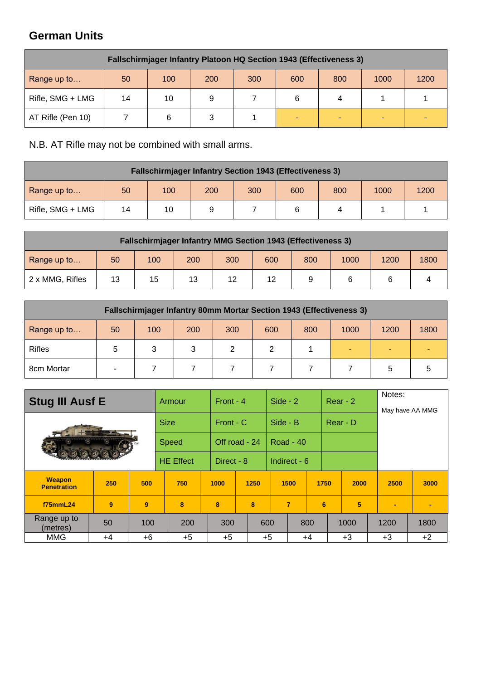## **German Units**

|                   | <b>Fallschirmjager Infantry Platoon HQ Section 1943 (Effectiveness 3)</b> |     |     |     |     |     |      |      |  |  |  |  |  |  |
|-------------------|---------------------------------------------------------------------------|-----|-----|-----|-----|-----|------|------|--|--|--|--|--|--|
| Range up to       | 50                                                                        | 100 | 200 | 300 | 600 | 800 | 1000 | 1200 |  |  |  |  |  |  |
| Rifle, SMG + LMG  | 14                                                                        | 10  |     |     | 6   | 4   |      |      |  |  |  |  |  |  |
| AT Rifle (Pen 10) |                                                                           | 6   |     |     |     |     |      |      |  |  |  |  |  |  |

N.B. AT Rifle may not be combined with small arms.

| <b>Fallschirmjager Infantry Section 1943 (Effectiveness 3)</b> |    |     |     |     |     |     |      |      |  |  |  |  |  |
|----------------------------------------------------------------|----|-----|-----|-----|-----|-----|------|------|--|--|--|--|--|
| Range up to                                                    | 50 | 100 | 200 | 300 | 600 | 800 | 1000 | 1200 |  |  |  |  |  |
| Rifle, SMG + LMG                                               | 14 | 10  |     |     |     | 4   |      |      |  |  |  |  |  |

|                 | <b>Fallschirmjager Infantry MMG Section 1943 (Effectiveness 3)</b> |     |     |     |     |     |      |      |      |  |  |  |  |  |
|-----------------|--------------------------------------------------------------------|-----|-----|-----|-----|-----|------|------|------|--|--|--|--|--|
| Range up to     | 50                                                                 | 100 | 200 | 300 | 600 | 800 | 1000 | 1200 | 1800 |  |  |  |  |  |
| 2 x MMG, Rifles | 13                                                                 | 15  | 13  | 12  | 12  |     |      |      |      |  |  |  |  |  |

|               | <b>Fallschirmjager Infantry 80mm Mortar Section 1943 (Effectiveness 3)</b> |     |     |     |     |     |      |      |      |  |  |  |  |  |
|---------------|----------------------------------------------------------------------------|-----|-----|-----|-----|-----|------|------|------|--|--|--|--|--|
| Range up to   | 50                                                                         | 100 | 200 | 300 | 600 | 800 | 1000 | 1200 | 1800 |  |  |  |  |  |
| <b>Rifles</b> | 5                                                                          | 3   | 3   |     | າ   |     |      |      |      |  |  |  |  |  |
| 8cm Mortar    | -                                                                          |     |     |     |     |     |      | 5.   | 5    |  |  |  |  |  |

|                                     | <b>Stug III Ausf E</b> |      | Armour           |  |               | Front - 4 |      | Side - $2$       |              |          | $Rear - 2$ |      | Notes:<br>May have AA MMG |                |
|-------------------------------------|------------------------|------|------------------|--|---------------|-----------|------|------------------|--------------|----------|------------|------|---------------------------|----------------|
|                                     | <b>Bearing Street</b>  |      | <b>Size</b>      |  | Front - C     |           |      | Side - B         |              | Rear - D |            |      |                           |                |
|                                     |                        |      | <b>Speed</b>     |  | Off road - 24 |           |      | <b>Road - 40</b> |              |          |            |      |                           |                |
|                                     |                        |      | <b>HE Effect</b> |  | Direct - 8    |           |      |                  | Indirect - 6 |          |            |      |                           |                |
| <b>Weapon</b><br><b>Penetration</b> | 250                    | 500  | 750              |  | 1000          |           | 1250 |                  | 1500         | 1750     |            | 2000 | 2500                      | 3000           |
| f75mmL24                            | 9                      | 9    | 8                |  | 8             |           | 8    |                  | 7            | 6        |            | 5    | ٠                         | $\blacksquare$ |
| Range up to<br>(metres)             | 50                     | 100  | 200              |  | 300           |           | 600  |                  |              | 800      |            | 1000 | 1200                      | 1800           |
| <b>MMG</b>                          | $+4$                   | $+6$ | $+5$             |  | $+5$          |           | $+5$ |                  |              | $+4$     |            | $+3$ | $+3$                      | $+2$           |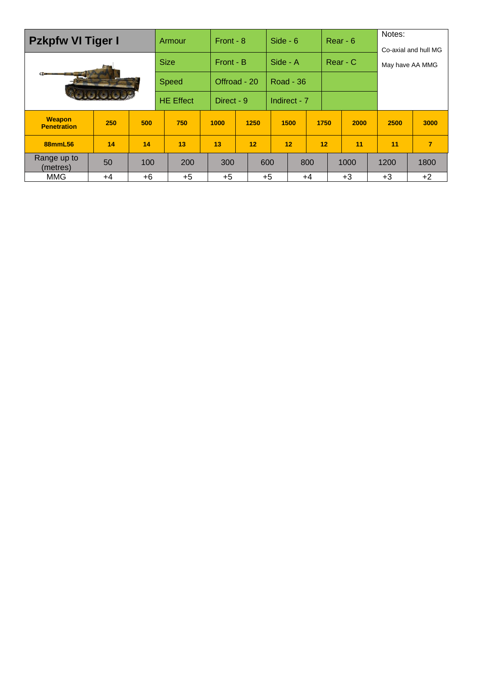| <b>Pzkpfw VI Tiger I</b>            |     |      |             | <b>Armour</b>    | Front - 8  |              |      | Side - $6$ |                  |      | $Rear - 6$ | Notes:<br>Co-axial and hull MG |                 |  |
|-------------------------------------|-----|------|-------------|------------------|------------|--------------|------|------------|------------------|------|------------|--------------------------------|-----------------|--|
|                                     |     |      | <b>Size</b> |                  | Front - B  |              |      | Side - A   |                  |      | Rear - C   |                                | May have AA MMG |  |
| $\sim$                              |     |      |             | <b>Speed</b>     |            | Offroad - 20 |      |            | <b>Road - 36</b> |      |            |                                |                 |  |
|                                     |     |      |             | <b>HE Effect</b> | Direct - 9 |              |      |            | Indirect - 7     |      |            |                                |                 |  |
| <b>Weapon</b><br><b>Penetration</b> | 250 | 500  |             | 750              | 1000       |              | 1250 |            | 1500             | 1750 | 2000       | 2500                           | 3000            |  |
| 88mmL56                             | 14  | 14   |             | 13               | 13         |              | 12   |            | 12               | 12   | 11         | 11                             | $\overline{7}$  |  |
| Range up to<br>(metres)             | 50  | 100  |             | 200              | 300        |              | 600  |            |                  | 800  | 1000       | 1200                           | 1800            |  |
| <b>MMG</b>                          | +4  | $+6$ |             | $+5$             | $+5$       |              |      | $+5$       |                  | +4   | $+3$       | $+3$                           | $+2$            |  |